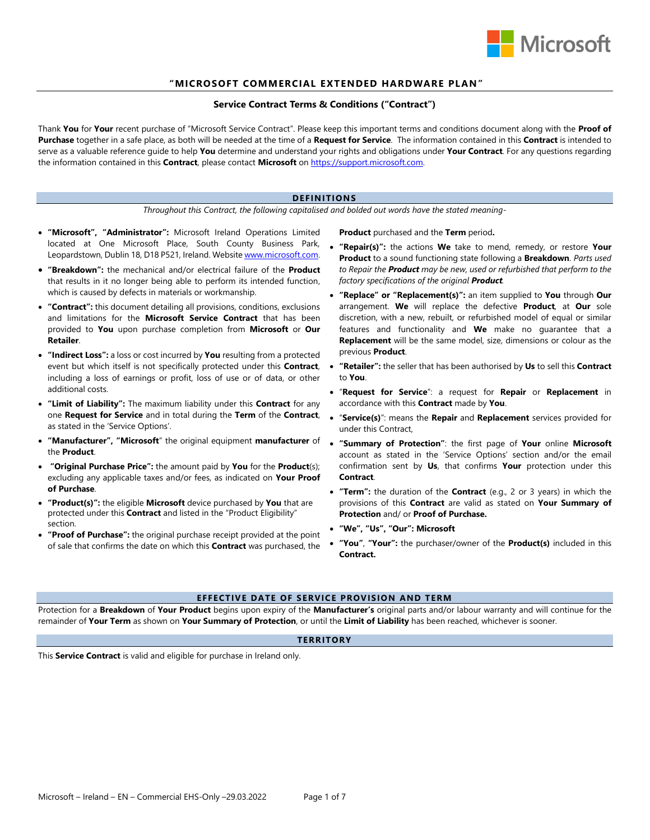

# "MICROSOFT COMMERCIAL EXTENDED HARDWARE PLAN"

# **Service Contract Terms & Conditions ("Contract")**

Thank **You** for **Your** recent purchase of "Microsoft Service Contract". Please keep this important terms and conditions document along with the **Proof of Purchase** together in a safe place, as both will be needed at the time of a **Request for Service**. The information contained in this **Contract** is intended to serve as a valuable reference guide to help **You** determine and understand your rights and obligations under **Your Contract**. For any questions regarding the information contained in this **Contract**, please contact **Microsoft** on [https://support.microsoft.com.](https://support.microsoft.com/)

## **DEFINITIONS**

*Throughout this Contract, the following capitalised and bolded out words have the stated meaning-*

- **"Microsoft", "Administrator":** Microsoft Ireland Operations Limited located at One Microsoft Place, South County Business Park, Leopardstown, Dublin 18, D18 P521, Ireland. Websit[e www.microsoft.com.](http://www.microsoft.com/)
- **"Breakdown":** the mechanical and/or electrical failure of the **Product** that results in it no longer being able to perform its intended function, which is caused by defects in materials or workmanship.
- **"Contract":** this document detailing all provisions, conditions, exclusions and limitations for the **Microsoft Service Contract** that has been provided to **You** upon purchase completion from **Microsoft** or **Our Retailer**.
- **"Indirect Loss":** a loss or cost incurred by **You** resulting from a protected event but which itself is not specifically protected under this **Contract**, including a loss of earnings or profit, loss of use or of data, or other additional costs.
- **"Limit of Liability":** The maximum liability under this **Contract** for any one **Request for Service** and in total during the **Term** of the **Contract**, as stated in the 'Service Options'.
- **"Manufacturer", "Microsoft**" the original equipment **manufacturer** of **"Summary of Protection"**: the first page of **Your** online **Microsoft** the **Product**.
- **"Original Purchase Price":** the amount paid by **You** for the **Product**(s); excluding any applicable taxes and/or fees, as indicated on **Your Proof of Purchase**.
- **"Product(s)":** the eligible **Microsoft** device purchased by **You** that are protected under this **Contract** and listed in the "Product Eligibility" section.
- **"Proof of Purchase":** the original purchase receipt provided at the point of sale that confirms the date on which this **Contract** was purchased, the

**Product** purchased and the **Term** period**.**

- **"Repair(s)":** the actions **We** take to mend, remedy, or restore **Your Product** to a sound functioning state following a **Breakdown**. *Parts used to Repair the Product may be new, used or refurbished that perform to the factory specifications of the original Product.*
- **"Replace" or "Replacement(s)":** an item supplied to **You** through **Our** arrangement. **We** will replace the defective **Product**, at **Our** sole discretion, with a new, rebuilt, or refurbished model of equal or similar features and functionality and **We** make no guarantee that a **Replacement** will be the same model, size, dimensions or colour as the previous **Product**.
- **"Retailer":** the seller that has been authorised by **Us** to sell this **Contract** to **You**.
- "**Request for Service**": a request for **Repair** or **Replacement** in accordance with this **Contract** made by **You**.
- "**Service(s)**": means the **Repair** and **Replacement** services provided for under this Contract,
- account as stated in the 'Service Options' section and/or the email confirmation sent by **Us**, that confirms **Your** protection under this **Contract**.
- **"Term":** the duration of the **Contract** (e.g., 2 or 3 years) in which the provisions of this **Contract** are valid as stated on **Your Summary of Protection** and/ or **Proof of Purchase.**
- **"We", "Us", "Our": Microsoft**
- **"You"**, **"Your":** the purchaser/owner of the **Product(s)** included in this **Contract.**

# **EFFECTIVE DATE OF SERVICE PROVISION AND TERM**

Protection for a **Breakdown** of **Your Product** begins upon expiry of the **Manufacturer's** original parts and/or labour warranty and will continue for the remainder of **Your Term** as shown on **Your Summary of Protection**, or until the **Limit of Liability** has been reached, whichever is sooner.

### **TERRITORY**

This **Service Contract** is valid and eligible for purchase in Ireland only.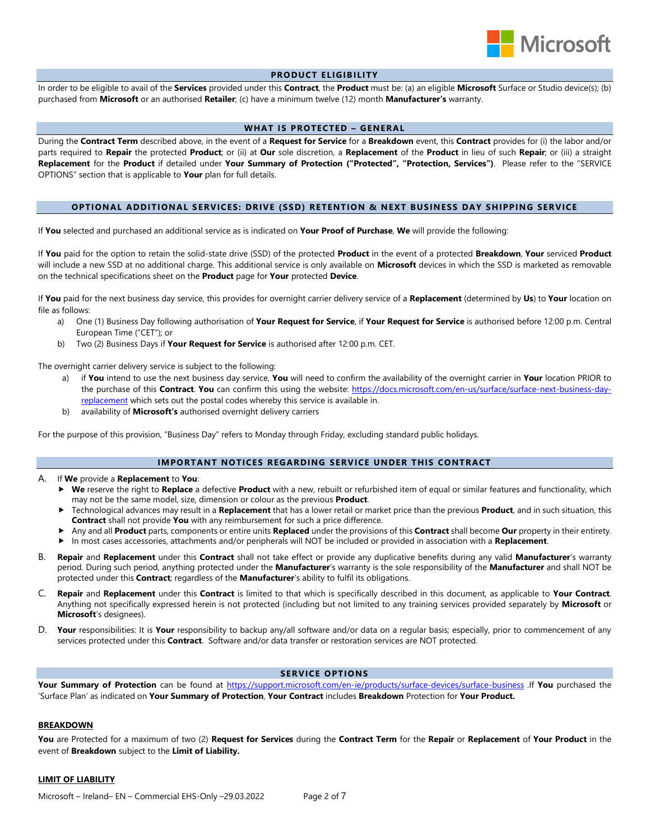

# **PRODUCT ELIGIBILITY**

In order to be eligible to avail of the **Services** provided under this **Contract**, the **Product** must be: (a) an eligible **Microsoft** Surface or Studio device(s); (b) purchased from **Microsoft** or an authorised **Retailer**; (c) have a minimum twelve (12) month **Manufacturer's** warranty.

### **WHAT IS PROTECTED – GENERAL**

During the **Contract Term** described above, in the event of a **Request for Service** for a **Breakdown** event, this **Contract** provides for (i) the labor and/or parts required to **Repair** the protected **Product**; or (ii) at **Our** sole discretion, a **Replacement** of the **Product** in lieu of such **Repair**; or (iii) a straight **Replacement** for the **Product** if detailed under **Your Summary of Protection ("Protected", "Protection, Services")**. Please refer to the "SERVICE OPTIONS" section that is applicable to **Your** plan for full details.

### **OPTIONAL ADDITIONAL S ERVICES: DRIVE (SSD) RETENTION & NEXT BUSINESS DAY SHIPPING SERVICE**

If **You** selected and purchased an additional service as is indicated on **Your Proof of Purchase**, **We** will provide the following:

If **You** paid for the option to retain the solid-state drive (SSD) of the protected **Product** in the event of a protected **Breakdown**, **Your** serviced **Product** will include a new SSD at no additional charge. This additional service is only available on **Microsoft** devices in which the SSD is marketed as removable on the technical specifications sheet on the **Product** page for **Your** protected **Device**.

If **You** paid for the next business day service, this provides for overnight carrier delivery service of a **Replacement** (determined by **Us**) to **Your** location on file as follows:

- a) One (1) Business Day following authorisation of **Your Request for Service**, if **Your Request for Service** is authorised before 12:00 p.m. Central European Time ("CET"); or
- b) Two (2) Business Days if **Your Request for Service** is authorised after 12:00 p.m. CET.

The overnight carrier delivery service is subject to the following:

- a) if **You** intend to use the next business day service, **You** will need to confirm the availability of the overnight carrier in **Your** location PRIOR to the purchase of this **Contract**. **You** can confirm this using the website: [https://docs.microsoft.com/en-us/surface/surface-next-business-day](https://docs.microsoft.com/en-us/surface/surface-next-business-day-replacement)[replacement](https://docs.microsoft.com/en-us/surface/surface-next-business-day-replacement) which sets out the postal codes whereby this service is available in.
- b) availability of **Microsoft's** authorised overnight delivery carriers

For the purpose of this provision, "Business Day" refers to Monday through Friday, excluding standard public holidays.

# **IMPORTANT NOTICES REGARDING SERVICE UNDER THIS CONTRACT**

#### A. If **We** provide a **Replacement** to **You**:

- **We** reserve the right to **Replace** a defective **Product** with a new, rebuilt or refurbished item of equal or similar features and functionality, which may not be the same model, size, dimension or colour as the previous **Product**.
- Technological advances may result in a **Replacement** that has a lower retail or market price than the previous **Product**, and in such situation, this **Contract** shall not provide **You** with any reimbursement for such a price difference.
- Any and all **Product** parts, components or entire units **Replaced** under the provisions of this **Contract** shall become **Our** property in their entirety.
- In most cases accessories, attachments and/or peripherals will NOT be included or provided in association with a **Replacement**.
- B. **Repair** and **Replacement** under this **Contract** shall not take effect or provide any duplicative benefits during any valid **Manufacturer**'s warranty period. During such period, anything protected under the **Manufacturer**'s warranty is the sole responsibility of the **Manufacturer** and shall NOT be protected under this **Contract**; regardless of the **Manufacturer**'s ability to fulfil its obligations.
- C. **Repair** and **Replacement** under this **Contract** is limited to that which is specifically described in this document, as applicable to **Your Contract**. Anything not specifically expressed herein is not protected (including but not limited to any training services provided separately by **Microsoft** or **Microsoft**'s designees).
- D. **Your** responsibilities: It is **Your** responsibility to backup any/all software and/or data on a regular basis; especially, prior to commencement of any services protected under this **Contract**. Software and/or data transfer or restoration services are NOT protected.

# **SERVICE OPTIONS**

**Your Summary of Protection** can be found at<https://support.microsoft.com/en-ie/products/surface-devices/surface-business> .If **You** purchased the 'Surface Plan' as indicated on **Your Summary of Protection**, **Your Contract** includes **Breakdown** Protection for **Your Product.**

### **BREAKDOWN**

**You** are Protected for a maximum of two (2) **Request for Services** during the **Contract Term** for the **Repair** or **Replacement** of **Your Product** in the event of **Breakdown** subject to the **Limit of Liability.** 

### **LIMIT OF LIABILITY**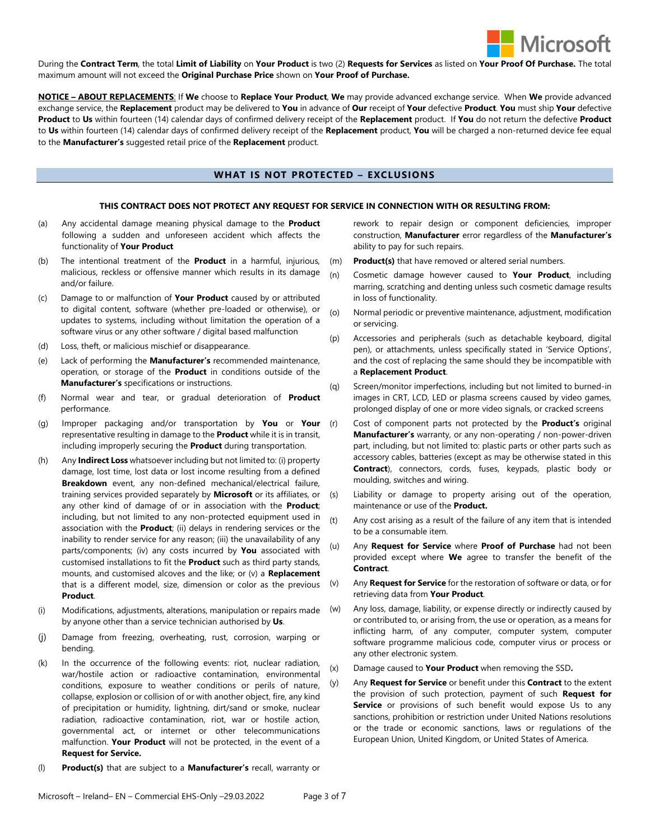

During the **Contract Term**, the total **Limit of Liability** on **Your Product** is two (2) **Requests for Services** as listed on **Your Proof Of Purchase.** The total maximum amount will not exceed the **Original Purchase Price** shown on **Your Proof of Purchase.**

**NOTICE – ABOUT REPLACEMENTS**: If **We** choose to **Replace Your Product**, **We** may provide advanced exchange service. When **We** provide advanced exchange service, the **Replacement** product may be delivered to **You** in advance of **Our** receipt of **Your** defective **Product**. **You** must ship **Your** defective **Product** to **Us** within fourteen (14) calendar days of confirmed delivery receipt of the **Replacement** product. If **You** do not return the defective **Product** to **Us** within fourteen (14) calendar days of confirmed delivery receipt of the **Replacement** product, **You** will be charged a non-returned device fee equal to the **Manufacturer's** suggested retail price of the **Replacement** product.

# **WHAT IS NOT PROTECTED – EXCLUSIONS**

### **THIS CONTRACT DOES NOT PROTECT ANY REQUEST FOR SERVICE IN CONNECTION WITH OR RESULTING FROM:**

- (a) Any accidental damage meaning physical damage to the **Product** following a sudden and unforeseen accident which affects the functionality of **Your Product**
- (b) The intentional treatment of the **Product** in a harmful, injurious, malicious, reckless or offensive manner which results in its damage and/or failure.
- (c) Damage to or malfunction of **Your Product** caused by or attributed to digital content, software (whether pre-loaded or otherwise), or updates to systems, including without limitation the operation of a software virus or any other software / digital based malfunction
- (d) Loss, theft, or malicious mischief or disappearance.
- (e) Lack of performing the **Manufacturer's** recommended maintenance, operation, or storage of the **Product** in conditions outside of the **Manufacturer's** specifications or instructions.
- (f) Normal wear and tear, or gradual deterioration of **Product**  performance.
- (g) Improper packaging and/or transportation by **You** or **Your** representative resulting in damage to the **Product** while it is in transit, including improperly securing the **Product** during transportation.
- (h) Any **Indirect Loss** whatsoever including but not limited to: (i) property damage, lost time, lost data or lost income resulting from a defined **Breakdown** event, any non-defined mechanical/electrical failure, training services provided separately by **Microsoft** or its affiliates, or any other kind of damage of or in association with the **Product**; including, but not limited to any non-protected equipment used in association with the **Product**; (ii) delays in rendering services or the inability to render service for any reason; (iii) the unavailability of any parts/components; (iv) any costs incurred by **You** associated with customised installations to fit the **Product** such as third party stands, mounts, and customised alcoves and the like; or (v) a **Replacement** that is a different model, size, dimension or color as the previous **Product**.
- (i) Modifications, adjustments, alterations, manipulation or repairs made by anyone other than a service technician authorised by **Us**.
- Damage from freezing, overheating, rust, corrosion, warping or bending.
- (k) In the occurrence of the following events: riot, nuclear radiation, war/hostile action or radioactive contamination, environmental conditions, exposure to weather conditions or perils of nature, collapse, explosion or collision of or with another object, fire, any kind of precipitation or humidity, lightning, dirt/sand or smoke, nuclear radiation, radioactive contamination, riot, war or hostile action, governmental act, or internet or other telecommunications malfunction. **Your Product** will not be protected, in the event of a **Request for Service.**
- (l) **Product(s)** that are subject to a **Manufacturer's** recall, warranty or

rework to repair design or component deficiencies, improper construction, **Manufacturer** error regardless of the **Manufacturer's** ability to pay for such repairs.

- (m) **Product(s)** that have removed or altered serial numbers.
- (n) Cosmetic damage however caused to **Your Product**, including marring, scratching and denting unless such cosmetic damage results in loss of functionality.
- (o) Normal periodic or preventive maintenance, adjustment, modification or servicing.
- (p) Accessories and peripherals (such as detachable keyboard, digital pen), or attachments, unless specifically stated in 'Service Options', and the cost of replacing the same should they be incompatible with a **Replacement Product**.
- (q) Screen/monitor imperfections, including but not limited to burned-in images in CRT, LCD, LED or plasma screens caused by video games, prolonged display of one or more video signals, or cracked screens
- Cost of component parts not protected by the **Product's** original **Manufacturer's** warranty, or any non-operating / non-power-driven part, including, but not limited to: plastic parts or other parts such as accessory cables, batteries (except as may be otherwise stated in this **Contract**), connectors, cords, fuses, keypads, plastic body or moulding, switches and wiring.
- (s) Liability or damage to property arising out of the operation, maintenance or use of the **Product.**
- (t) Any cost arising as a result of the failure of any item that is intended to be a consumable item.
- (u) Any **Request for Service** where **Proof of Purchase** had not been provided except where **We** agree to transfer the benefit of the **Contract**.
- (v) Any **Request for Service** for the restoration of software or data, or for retrieving data from **Your Product**.
- (w) Any loss, damage, liability, or expense directly or indirectly caused by or contributed to, or arising from, the use or operation, as a means for inflicting harm, of any computer, computer system, computer software programme malicious code, computer virus or process or any other electronic system.
- (x) Damage caused to **Your Product** when removing the SSD**.**
- (y) Any **Request for Service** or benefit under this **Contract** to the extent the provision of such protection, payment of such **Request for Service** or provisions of such benefit would expose Us to any sanctions, prohibition or restriction under United Nations resolutions or the trade or economic sanctions, laws or regulations of the European Union, United Kingdom, or United States of America.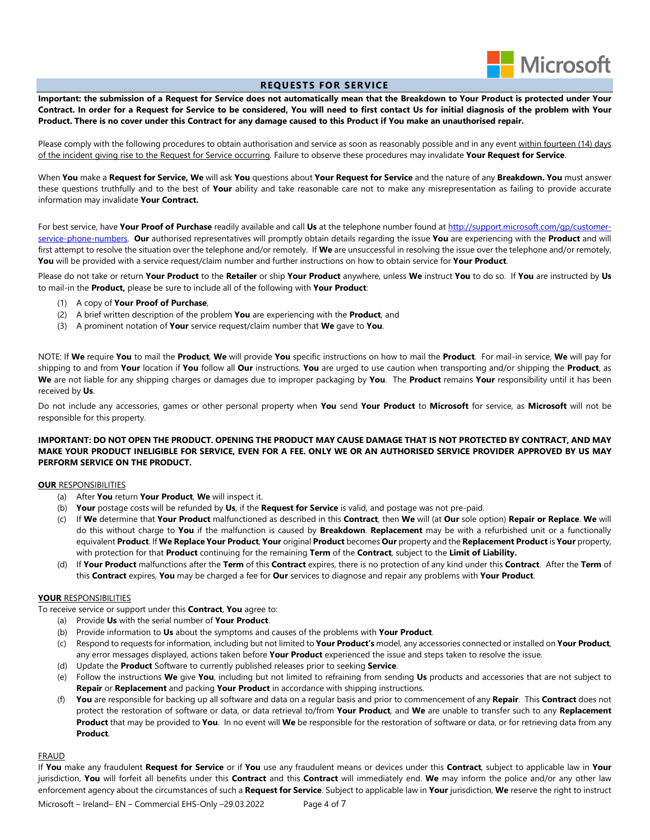

# **REQUESTS FOR SERVICE**

**Important: the submission of a Request for Service does not automatically mean that the Breakdown to Your Product is protected under Your Contract. In order for a Request for Service to be considered, You will need to first contact Us for initial diagnosis of the problem with Your Product. There is no cover under this Contract for any damage caused to this Product if You make an unauthorised repair.**

Please comply with the following procedures to obtain authorisation and service as soon as reasonably possible and in any event within fourteen (14) days of the incident giving rise to the Request for Service occurring. Failure to observe these procedures may invalidate **Your Request for Service**.

When **You** make a **Request for Service, We** will ask **You** questions about **Your Request for Service** and the nature of any **Breakdown. You** must answer these questions truthfully and to the best of **Your** ability and take reasonable care not to make any misrepresentation as failing to provide accurate information may invalidate **Your Contract.**

For best service, have **Your Proof of Purchase** readily available and call **Us** at the telephone number found a[t http://support.microsoft.com/gp/customer](http://support.microsoft.com/gp/customer-service-phone-numbers)[service-phone-numbers.](http://support.microsoft.com/gp/customer-service-phone-numbers) **Our** authorised representatives will promptly obtain details regarding the issue **You** are experiencing with the **Product** and will first attempt to resolve the situation over the telephone and/or remotely. If **We** are unsuccessful in resolving the issue over the telephone and/or remotely, **You** will be provided with a service request/claim number and further instructions on how to obtain service for **Your Product**.

Please do not take or return **Your Product** to the **Retailer** or ship **Your Product** anywhere, unless **We** instruct **You** to do so. If **You** are instructed by **Us** to mail-in the **Product,** please be sure to include all of the following with **Your Product**:

- (1) A copy of **Your Proof of Purchase**,
- (2) A brief written description of the problem **You** are experiencing with the **Product**, and
- (3) A prominent notation of **Your** service request/claim number that **We** gave to **You**.

NOTE: If **We** require **You** to mail the **Product**, **We** will provide **You** specific instructions on how to mail the **Product**. For mail-in service, **We** will pay for shipping to and from **Your** location if **You** follow all **Our** instructions. **You** are urged to use caution when transporting and/or shipping the **Product**, as **We** are not liable for any shipping charges or damages due to improper packaging by **You**. The **Product** remains **Your** responsibility until it has been received by **Us**.

Do not include any accessories, games or other personal property when **You** send **Your Product** to **Microsoft** for service, as **Microsoft** will not be responsible for this property.

# **IMPORTANT: DO NOT OPEN THE PRODUCT. OPENING THE PRODUCT MAY CAUSE DAMAGE THAT IS NOT PROTECTED BY CONTRACT, AND MAY MAKE YOUR PRODUCT INELIGIBLE FOR SERVICE, EVEN FOR A FEE. ONLY WE OR AN AUTHORISED SERVICE PROVIDER APPROVED BY US MAY PERFORM SERVICE ON THE PRODUCT.**

### **OUR** RESPONSIBILITIES

- (a) After **You** return **Your Product**, **We** will inspect it.
- (b) **Your** postage costs will be refunded by **Us**, if the **Request for Service** is valid, and postage was not pre-paid.
- (c) If **We** determine that **Your Product** malfunctioned as described in this **Contract**, then **We** will (at **Our** sole option) **Repair or Replace**. **We** will do this without charge to **You** if the malfunction is caused by **Breakdown**. **Replacement** may be with a refurbished unit or a functionally equivalent **Product**. If **We Replace Your Product**, **Your** original **Product** becomes **Our** property and the **Replacement Product** is **Your** property, with protection for that **Product** continuing for the remaining **Term** of the **Contract**, subject to the **Limit of Liability.**
- (d) If **Your Product** malfunctions after the **Term** of this **Contract** expires, there is no protection of any kind under this **Contract**. After the **Term** of this **Contract** expires, **You** may be charged a fee for **Our** services to diagnose and repair any problems with **Your Product**.

# **YOUR** RESPONSIBILITIES

To receive service or support under this **Contract**, **You** agree to:

- (a) Provide **Us** with the serial number of **Your Product**.
- (b) Provide information to **Us** about the symptoms and causes of the problems with **Your Product**.
- (c) Respond to requests for information, including but not limited to **Your Product's** model, any accessories connected or installed on **Your Product**, any error messages displayed, actions taken before **Your Product** experienced the issue and steps taken to resolve the issue.
- (d) Update the **Product** Software to currently published releases prior to seeking **Service**.
- (e) Follow the instructions **We** give **You**, including but not limited to refraining from sending **Us** products and accessories that are not subject to **Repair** or **Replacement** and packing **Your Product** in accordance with shipping instructions.
- (f) **You** are responsible for backing up all software and data on a regular basis and prior to commencement of any **Repair**. This **Contract** does not protect the restoration of software or data, or data retrieval to/from **Your Product**, and **We** are unable to transfer such to any **Replacement Product** that may be provided to **You**. In no event will **We** be responsible for the restoration of software or data, or for retrieving data from any **Product**.

# FRAUD

If **You** make any fraudulent **Request for Service** or if **You** use any fraudulent means or devices under this **Contract**, subject to applicable law in **Your**  jurisdiction, **You** will forfeit all benefits under this **Contract** and this **Contract** will immediately end. **We** may inform the police and/or any other law enforcement agency about the circumstances of such a **Request for Service**. Subject to applicable law in **Your** jurisdiction, **We** reserve the right to instruct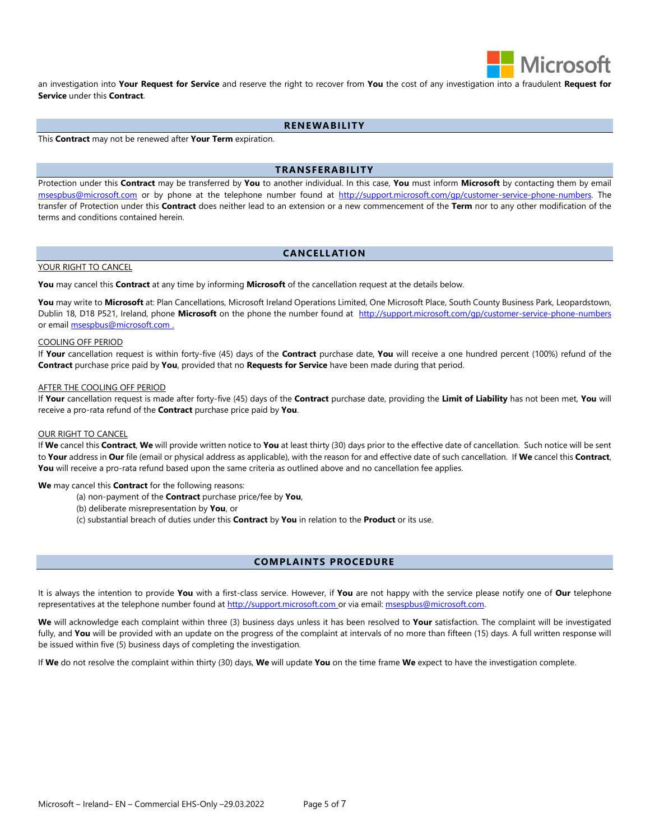

an investigation into **Your Request for Service** and reserve the right to recover from **You** the cost of any investigation into a fraudulent **Request for Service** under this **Contract**.

# **RENEWABILITY**

This **Contract** may not be renewed after **Your Term** expiration.

# **TRANSFERABILITY**

Protection under this **Contract** may be transferred by **You** to another individual. In this case, **You** must inform **Microsoft** by contacting them by email [msespbus@microsoft.com](mailto:msespbus@microsoft.com) or by phone at the telephone number found at [http://support.microsoft.com/gp/customer-service-phone-numbers.](http://support.microsoft.com/gp/customer-service-phone-numbers) The transfer of Protection under this **Contract** does neither lead to an extension or a new commencement of the **Term** nor to any other modification of the terms and conditions contained herein.

## **CANCELL ATION**

#### YOUR RIGHT TO CANCEL

**You** may cancel this **Contract** at any time by informing **Microsoft** of the cancellation request at the details below.

You may write to Microsoft at: Plan Cancellations, Microsoft Ireland Operations Limited, One Microsoft Place, South County Business Park, Leopardstown, Dublin 18, D18 P521, Ireland, phone **Microsoft** on the phone the number found at <http://support.microsoft.com/gp/customer-service-phone-numbers> or email [msespbus@microsoft.com](mailto:msespbus@microsoft.com) .

### COOLING OFF PERIOD

If **Your** cancellation request is within forty-five (45) days of the **Contract** purchase date, **You** will receive a one hundred percent (100%) refund of the **Contract** purchase price paid by **You**, provided that no **Requests for Service** have been made during that period.

#### AFTER THE COOLING OFF PERIOD

If **Your** cancellation request is made after forty-five (45) days of the **Contract** purchase date, providing the **Limit of Liability** has not been met, **You** will receive a pro-rata refund of the **Contract** purchase price paid by **You**.

### OUR RIGHT TO CANCEL

If **We** cancel this **Contract**, **We** will provide written notice to **You** at least thirty (30) days prior to the effective date of cancellation. Such notice will be sent to **Your** address in **Our** file (email or physical address as applicable), with the reason for and effective date of such cancellation. If **We** cancel this **Contract**, You will receive a pro-rata refund based upon the same criteria as outlined above and no cancellation fee applies.

#### **We** may cancel this **Contract** for the following reasons:

- (a) non-payment of the **Contract** purchase price/fee by **You**,
- (b) deliberate misrepresentation by **You**, or
- (c) substantial breach of duties under this **Contract** by **You** in relation to the **Product** or its use.

# **COMPLAINTS PROCEDURE**

It is always the intention to provide **You** with a first-class service. However, if **You** are not happy with the service please notify one of **Our** telephone representatives at the telephone number found at [http://support.microsoft.com](http://support.microsoft.com/) or via email[: msespbus@microsoft.com.](mailto:msespbus@microsoft.com)

**We** will acknowledge each complaint within three (3) business days unless it has been resolved to **Your** satisfaction. The complaint will be investigated fully, and You will be provided with an update on the progress of the complaint at intervals of no more than fifteen (15) days. A full written response will be issued within five (5) business days of completing the investigation.

If **We** do not resolve the complaint within thirty (30) days, **We** will update **You** on the time frame **We** expect to have the investigation complete.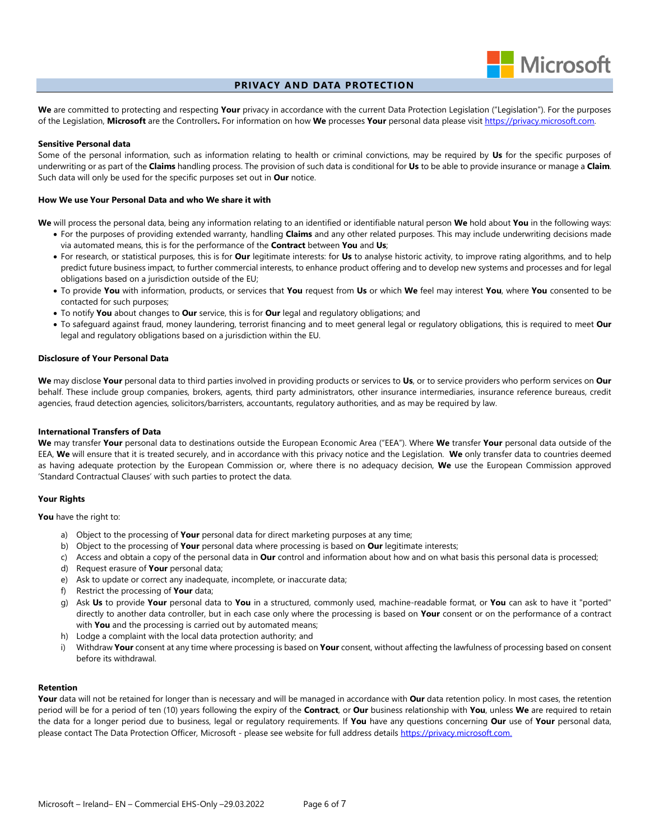

# **PRIVACY AND DATA PROTECTION**

**We** are committed to protecting and respecting **Your** privacy in accordance with the current Data Protection Legislation ("Legislation"). For the purposes of the Legislation, **Microsoft** are the Controllers**.** For information on how **We** processes **Your** personal data please visit [https://privacy.microsoft.com.](https://privacy.microsoft.com/)

### **Sensitive Personal data**

Some of the personal information, such as information relating to health or criminal convictions, may be required by **Us** for the specific purposes of underwriting or as part of the **Claims** handling process. The provision of such data is conditional for **Us** to be able to provide insurance or manage a **Claim**. Such data will only be used for the specific purposes set out in **Our** notice.

#### **How We use Your Personal Data and who We share it with**

**We** will process the personal data, being any information relating to an identified or identifiable natural person **We** hold about **You** in the following ways:

- For the purposes of providing extended warranty, handling **Claims** and any other related purposes. This may include underwriting decisions made via automated means, this is for the performance of the **Contract** between **You** and **Us**;
- For research, or statistical purposes, this is for **Our** legitimate interests: for **Us** to analyse historic activity, to improve rating algorithms, and to help predict future business impact, to further commercial interests, to enhance product offering and to develop new systems and processes and for legal obligations based on a jurisdiction outside of the EU;
- To provide **You** with information, products, or services that **You** request from **Us** or which **We** feel may interest **You**, where **You** consented to be contacted for such purposes;
- To notify **You** about changes to **Our** service, this is for **Our** legal and regulatory obligations; and
- To safeguard against fraud, money laundering, terrorist financing and to meet general legal or regulatory obligations, this is required to meet **Our** legal and regulatory obligations based on a jurisdiction within the EU.

#### **Disclosure of Your Personal Data**

**We** may disclose **Your** personal data to third parties involved in providing products or services to **Us**, or to service providers who perform services on **Our** behalf. These include group companies, brokers, agents, third party administrators, other insurance intermediaries, insurance reference bureaus, credit agencies, fraud detection agencies, solicitors/barristers, accountants, regulatory authorities, and as may be required by law.

### **International Transfers of Data**

**We** may transfer **Your** personal data to destinations outside the European Economic Area ("EEA"). Where **We** transfer **Your** personal data outside of the EEA, **We** will ensure that it is treated securely, and in accordance with this privacy notice and the Legislation. **We** only transfer data to countries deemed as having adequate protection by the European Commission or, where there is no adequacy decision, **We** use the European Commission approved 'Standard Contractual Clauses' with such parties to protect the data.

### **Your Rights**

**You** have the right to:

- a) Object to the processing of **Your** personal data for direct marketing purposes at any time;
- b) Object to the processing of **Your** personal data where processing is based on **Our** legitimate interests;
- c) Access and obtain a copy of the personal data in **Our** control and information about how and on what basis this personal data is processed;
- d) Request erasure of **Your** personal data;
- e) Ask to update or correct any inadequate, incomplete, or inaccurate data;
- f) Restrict the processing of **Your** data;
- g) Ask **Us** to provide **Your** personal data to **You** in a structured, commonly used, machine-readable format, or **You** can ask to have it "ported" directly to another data controller, but in each case only where the processing is based on **Your** consent or on the performance of a contract with **You** and the processing is carried out by automated means;
- h) Lodge a complaint with the local data protection authority; and
- i) Withdraw **Your** consent at any time where processing is based on **Your** consent, without affecting the lawfulness of processing based on consent before its withdrawal.

#### **Retention**

**Your** data will not be retained for longer than is necessary and will be managed in accordance with **Our** data retention policy. In most cases, the retention period will be for a period of ten (10) years following the expiry of the **Contract**, or **Our** business relationship with **You**, unless **We** are required to retain the data for a longer period due to business, legal or regulatory requirements. If **You** have any questions concerning **Our** use of **Your** personal data, please contact The Data Protection Officer, Microsoft - please see website for full address details https://privacy.microsoft.com.